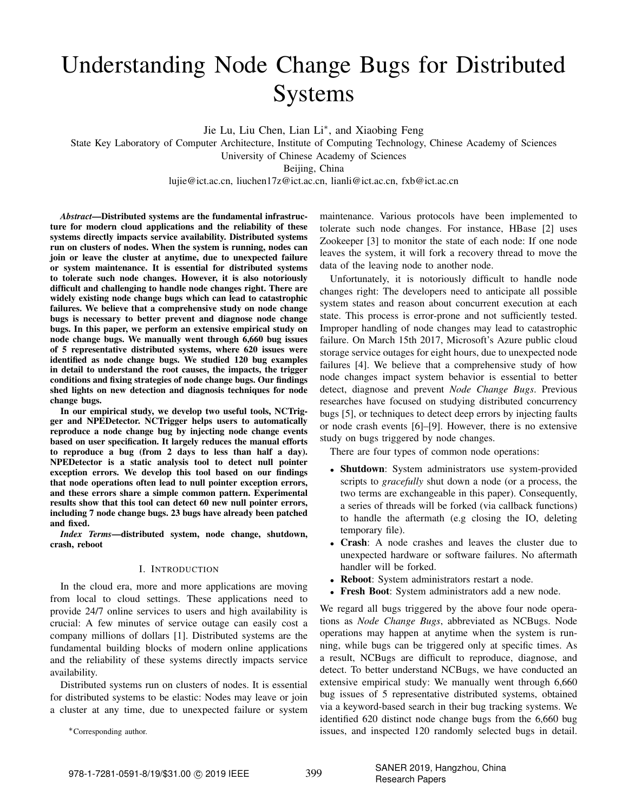# Understanding Node Change Bugs for Distributed Systems

Jie Lu, Liu Chen, Lian Li<sup>\*</sup>, and Xiaobing Feng

State Key Laboratory of Computer Architecture, Institute of Computing Technology, Chinese Academy of Sciences

University of Chinese Academy of Sciences

Beijing, China

lujie@ict.ac.cn, liuchen17z@ict.ac.cn, lianli@ict.ac.cn, fxb@ict.ac.cn

*Abstract*—Distributed systems are the fundamental infrastructure for modern cloud applications and the reliability of these systems directly impacts service availability. Distributed systems run on clusters of nodes. When the system is running, nodes can join or leave the cluster at anytime, due to unexpected failure or system maintenance. It is essential for distributed systems to tolerate such node changes. However, it is also notoriously difficult and challenging to handle node changes right. There are widely existing node change bugs which can lead to catastrophic failures. We believe that a comprehensive study on node change bugs is necessary to better prevent and diagnose node change bugs. In this paper, we perform an extensive empirical study on node change bugs. We manually went through 6,660 bug issues of 5 representative distributed systems, where 620 issues were identified as node change bugs. We studied 120 bug examples in detail to understand the root causes, the impacts, the trigger conditions and fixing strategies of node change bugs. Our findings shed lights on new detection and diagnosis techniques for node change bugs.

In our empirical study, we develop two useful tools, NCTrigger and NPEDetector. NCTrigger helps users to automatically reproduce a node change bug by injecting node change events based on user specification. It largely reduces the manual efforts to reproduce a bug (from 2 days to less than half a day). NPEDetector is a static analysis tool to detect null pointer exception errors. We develop this tool based on our findings that node operations often lead to null pointer exception errors, and these errors share a simple common pattern. Experimental results show that this tool can detect 60 new null pointer errors, including 7 node change bugs. 23 bugs have already been patched and fixed.

*Index Terms*—distributed system, node change, shutdown, crash, reboot

## I. INTRODUCTION

In the cloud era, more and more applications are moving from local to cloud settings. These applications need to provide 24/7 online services to users and high availability is crucial: A few minutes of service outage can easily cost a company millions of dollars [1]. Distributed systems are the fundamental building blocks of modern online applications and the reliability of these systems directly impacts service availability.

Distributed systems run on clusters of nodes. It is essential for distributed systems to be elastic: Nodes may leave or join a cluster at any time, due to unexpected failure or system

∗Corresponding author.

maintenance. Various protocols have been implemented to tolerate such node changes. For instance, HBase [2] uses Zookeeper [3] to monitor the state of each node: If one node leaves the system, it will fork a recovery thread to move the data of the leaving node to another node.

Unfortunately, it is notoriously difficult to handle node changes right: The developers need to anticipate all possible system states and reason about concurrent execution at each state. This process is error-prone and not sufficiently tested. Improper handling of node changes may lead to catastrophic failure. On March 15th 2017, Microsoft's Azure public cloud storage service outages for eight hours, due to unexpected node failures [4]. We believe that a comprehensive study of how node changes impact system behavior is essential to better detect, diagnose and prevent *Node Change Bugs*. Previous researches have focused on studying distributed concurrency bugs [5], or techniques to detect deep errors by injecting faults or node crash events [6]–[9]. However, there is no extensive study on bugs triggered by node changes.

There are four types of common node operations:

- Shutdown: System administrators use system-provided scripts to *gracefully* shut down a node (or a process, the two terms are exchangeable in this paper). Consequently, a series of threads will be forked (via callback functions) to handle the aftermath (e.g closing the IO, deleting temporary file).
- Crash: A node crashes and leaves the cluster due to unexpected hardware or software failures. No aftermath handler will be forked.
- Reboot: System administrators restart a node.
- Fresh Boot: System administrators add a new node.

We regard all bugs triggered by the above four node operations as *Node Change Bugs*, abbreviated as NCBugs. Node operations may happen at anytime when the system is running, while bugs can be triggered only at specific times. As a result, NCBugs are difficult to reproduce, diagnose, and detect. To better understand NCBugs, we have conducted an extensive empirical study: We manually went through 6,660 bug issues of 5 representative distributed systems, obtained via a keyword-based search in their bug tracking systems. We identified 620 distinct node change bugs from the 6,660 bug issues, and inspected 120 randomly selected bugs in detail.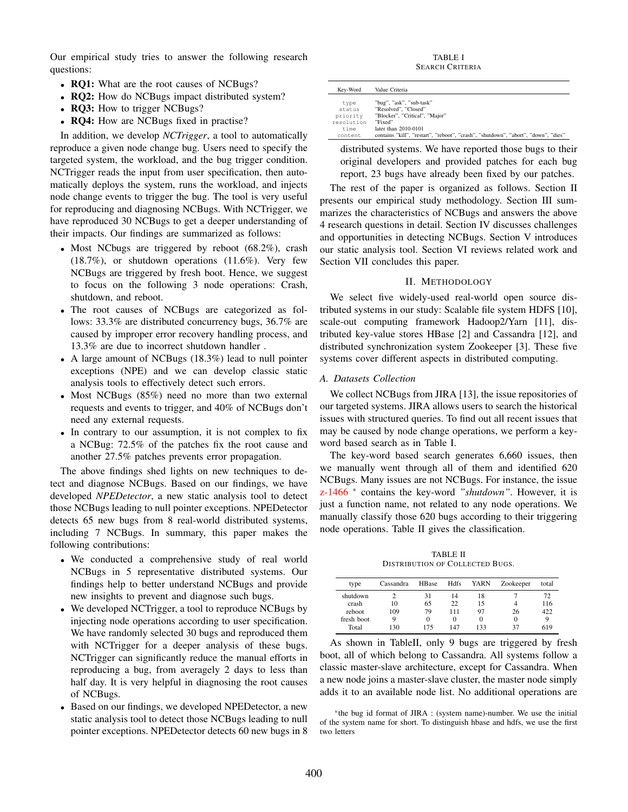Our empirical study tries to answer the following research questions:

- RQ1: What are the root causes of NCBugs?
- **RQ2:** How do NCBugs impact distributed system?
- RQ3: How to trigger NCBugs?
- **RO4:** How are NCBugs fixed in practise?

In addition, we develop *NCTrigger*, a tool to automatically reproduce a given node change bug. Users need to specify the targeted system, the workload, and the bug trigger condition. NCTrigger reads the input from user specification, then automatically deploys the system, runs the workload, and injects node change events to trigger the bug. The tool is very useful for reproducing and diagnosing NCBugs. With NCTrigger, we have reproduced 30 NCBugs to get a deeper understanding of their impacts. Our findings are summarized as follows:

- Most NCbugs are triggered by reboot (68.2%), crash (18.7%), or shutdown operations (11.6%). Very few NCBugs are triggered by fresh boot. Hence, we suggest to focus on the following 3 node operations: Crash, shutdown, and reboot.
- The root causes of NCBugs are categorized as follows: 33.3% are distributed concurrency bugs, 36.7% are caused by improper error recovery handling process, and 13.3% are due to incorrect shutdown handler .
- A large amount of NCBugs (18.3%) lead to null pointer exceptions (NPE) and we can develop classic static analysis tools to effectively detect such errors.
- Most NCBugs (85%) need no more than two external requests and events to trigger, and 40% of NCBugs don't need any external requests.
- In contrary to our assumption, it is not complex to fix a NCBug: 72.5% of the patches fix the root cause and another 27.5% patches prevents error propagation.

The above findings shed lights on new techniques to detect and diagnose NCBugs. Based on our findings, we have developed *NPEDetector*, a new static analysis tool to detect those NCBugs leading to null pointer exceptions. NPEDetector detects 65 new bugs from 8 real-world distributed systems, including 7 NCBugs. In summary, this paper makes the following contributions:

- We conducted a comprehensive study of real world NCBugs in 5 representative distributed systems. Our findings help to better understand NCBugs and provide new insights to prevent and diagnose such bugs.
- We developed NCTrigger, a tool to reproduce NCBugs by injecting node operations according to user specification. We have randomly selected 30 bugs and reproduced them with NCTrigger for a deeper analysis of these bugs. NCTrigger can significantly reduce the manual efforts in reproducing a bug, from averagely 2 days to less than half day. It is very helpful in diagnosing the root causes of NCBugs.
- Based on our findings, we developed NPEDetector, a new static analysis tool to detect those NCBugs leading to null pointer exceptions. NPEDetector detects 60 new bugs in 8

TABLE I SEARCH CRITERIA

| Kev-Word   | Value Criteria                                                                     |
|------------|------------------------------------------------------------------------------------|
| type       | "bug", "ask", "sub-task"                                                           |
| status     | "Resolved", "Closed"                                                               |
| priority   | "Blocker", "Critical", "Major"                                                     |
| resolution | "Fixed"                                                                            |
| time       | later than 2010-0101                                                               |
| content    | contains "kill", "restart", "reboot", "crash", "shutdown", "abort", "down", "dies" |

distributed systems. We have reported those bugs to their original developers and provided patches for each bug report, 23 bugs have already been fixed by our patches.

The rest of the paper is organized as follows. Section II presents our empirical study methodology. Section III summarizes the characteristics of NCBugs and answers the above 4 research questions in detail. Section IV discusses challenges and opportunities in detecting NCBugs. Section V introduces our static analysis tool. Section VI reviews related work and Section VII concludes this paper.

#### II. METHODOLOGY

We select five widely-used real-world open source distributed systems in our study: Scalable file system HDFS [10], scale-out computing framework Hadoop2/Yarn [11], distributed key-value stores HBase [2] and Cassandra [12], and distributed synchronization system Zookeeper [3]. These five systems cover different aspects in distributed computing.

#### *A. Datasets Collection*

We collect NCBugs from JIRA [13], the issue repositories of our targeted systems. JIRA allows users to search the historical issues with structured queries. To find out all recent issues that may be caused by node change operations, we perform a keyword based search as in Table I.

The key-word based search generates 6,660 issues, then we manually went through all of them and identified 620 NCBugs. Many issues are not NCBugs. For instance, the issue z-1466 \* contains the key-word *"shutdown"*. However, it is just a function name, not related to any node operations. We manually classify those 620 bugs according to their triggering node operations. Table II gives the classification.

TABLE II DISTRIBUTION OF COLLECTED BUGS.

| type       | Cassandra | <b>HBase</b> | <b>Hdfs</b> | YARN   | Zookeeper | total |
|------------|-----------|--------------|-------------|--------|-----------|-------|
| shutdown   |           | 31           | 14          | 18     |           | 72    |
| crash      | 10        | 65           | 22          | 15     | 4         | 116   |
| reboot     | 109       | 79           | 111         | 97     | 26        | 422   |
| fresh boot | Q         |              | $_{0}$      | $_{0}$ | 0         |       |
| Total      | 130       | 175          | 147         | 133    | 37        | 619   |

As shown in TableII, only 9 bugs are triggered by fresh boot, all of which belong to Cassandra. All systems follow a classic master-slave architecture, except for Cassandra. When a new node joins a master-slave cluster, the master node simply adds it to an available node list. No additional operations are

\*the bug id format of JIRA : (system name)-number. We use the initial of the system name for short. To distinguish hbase and hdfs, we use the first two letters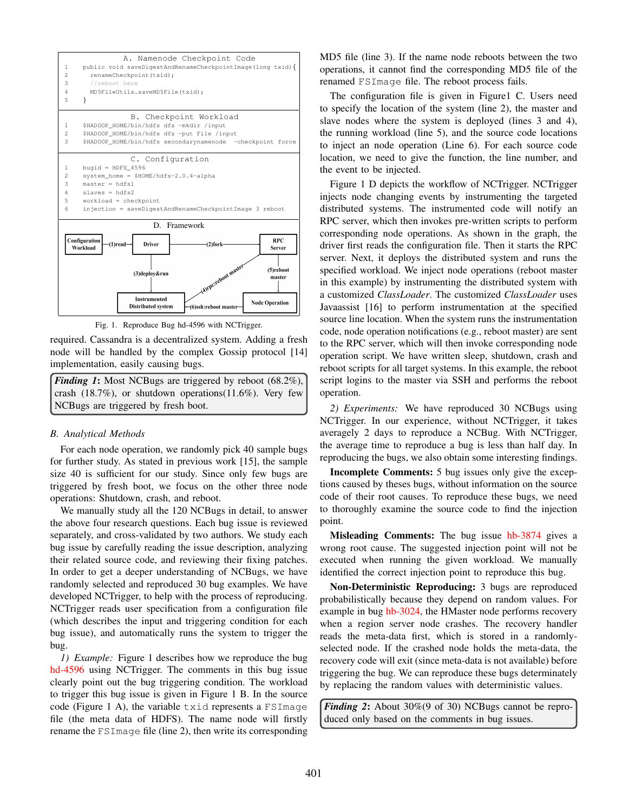

Fig. 1. Reproduce Bug hd-4596 with NCTrigger.

required. Cassandra is a decentralized system. Adding a fresh node will be handled by the complex Gossip protocol [14] implementation, easily causing bugs.

*Finding 1*: Most NCBugs are triggered by reboot (68.2%), crash (18.7%), or shutdown operations(11.6%). Very few NCBugs are triggered by fresh boot.

## *B. Analytical Methods*

For each node operation, we randomly pick 40 sample bugs for further study. As stated in previous work [15], the sample size 40 is sufficient for our study. Since only few bugs are triggered by fresh boot, we focus on the other three node operations: Shutdown, crash, and reboot.

We manually study all the 120 NCBugs in detail, to answer the above four research questions. Each bug issue is reviewed separately, and cross-validated by two authors. We study each bug issue by carefully reading the issue description, analyzing their related source code, and reviewing their fixing patches. In order to get a deeper understanding of NCBugs, we have randomly selected and reproduced 30 bug examples. We have developed NCTrigger, to help with the process of reproducing. NCTrigger reads user specification from a configuration file (which describes the input and triggering condition for each bug issue), and automatically runs the system to trigger the bug.

*1) Example:* Figure 1 describes how we reproduce the bug hd-4596 using NCTrigger. The comments in this bug issue clearly point out the bug triggering condition. The workload to trigger this bug issue is given in Figure 1 B. In the source code (Figure 1 A), the variable txid represents a FSImage file (the meta data of HDFS). The name node will firstly rename the FSImage file (line 2), then write its corresponding MD5 file (line 3). If the name node reboots between the two operations, it cannot find the corresponding MD5 file of the renamed FSImage file. The reboot process fails.

The configuration file is given in Figure1 C. Users need to specify the location of the system (line 2), the master and slave nodes where the system is deployed (lines 3 and 4), the running workload (line 5), and the source code locations to inject an node operation (Line 6). For each source code location, we need to give the function, the line number, and the event to be injected.

Figure 1 D depicts the workflow of NCTrigger. NCTrigger injects node changing events by instrumenting the targeted distributed systems. The instrumented code will notify an RPC server, which then invokes pre-written scripts to perform corresponding node operations. As shown in the graph, the driver first reads the configuration file. Then it starts the RPC server. Next, it deploys the distributed system and runs the specified workload. We inject node operations (reboot master in this example) by instrumenting the distributed system with a customized *ClassLoader*. The customized *ClassLoader* uses Javaassist [16] to perform instrumentation at the specified source line location. When the system runs the instrumentation code, node operation notifications (e.g., reboot master) are sent to the RPC server, which will then invoke corresponding node operation script. We have written sleep, shutdown, crash and reboot scripts for all target systems. In this example, the reboot script logins to the master via SSH and performs the reboot operation.

*2) Experiments:* We have reproduced 30 NCBugs using NCTrigger. In our experience, without NCTrigger, it takes averagely 2 days to reproduce a NCBug. With NCTrigger, the average time to reproduce a bug is less than half day. In reproducing the bugs, we also obtain some interesting findings.

Incomplete Comments: 5 bug issues only give the exceptions caused by theses bugs, without information on the source code of their root causes. To reproduce these bugs, we need to thoroughly examine the source code to find the injection point.

Misleading Comments: The bug issue hb-3874 gives a wrong root cause. The suggested injection point will not be executed when running the given workload. We manually identified the correct injection point to reproduce this bug.

Non-Deterministic Reproducing: 3 bugs are reproduced probabilistically because they depend on random values. For example in bug hb-3024, the HMaster node performs recovery when a region server node crashes. The recovery handler reads the meta-data first, which is stored in a randomlyselected node. If the crashed node holds the meta-data, the recovery code will exit (since meta-data is not available) before triggering the bug. We can reproduce these bugs determinately by replacing the random values with deterministic values.

*Finding 2*: About 30%(9 of 30) NCBugs cannot be reproduced only based on the comments in bug issues.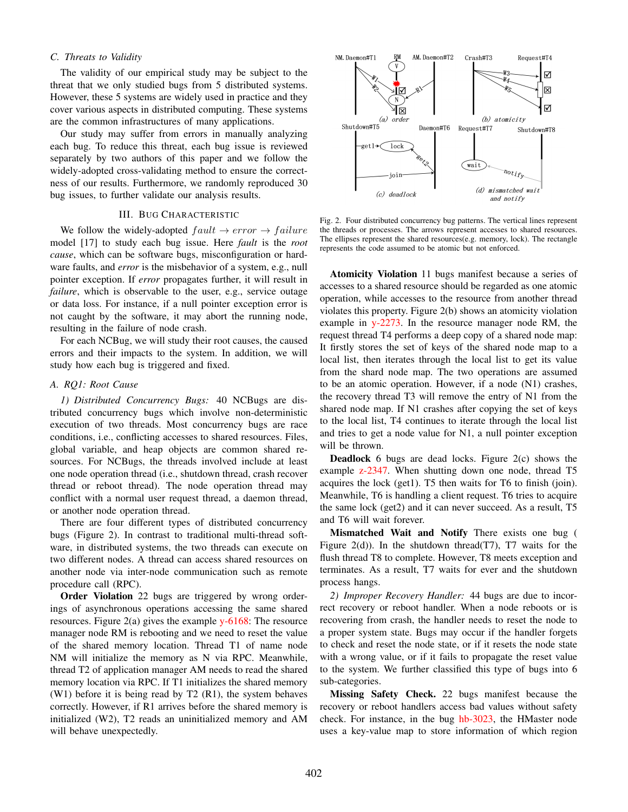# *C. Threats to Validity*

The validity of our empirical study may be subject to the threat that we only studied bugs from 5 distributed systems. However, these 5 systems are widely used in practice and they cover various aspects in distributed computing. These systems are the common infrastructures of many applications.

Our study may suffer from errors in manually analyzing each bug. To reduce this threat, each bug issue is reviewed separately by two authors of this paper and we follow the widely-adopted cross-validating method to ensure the correctness of our results. Furthermore, we randomly reproduced 30 bug issues, to further validate our analysis results.

### III. BUG CHARACTERISTIC

We follow the widely-adopted  $fault \rightarrow error \rightarrow failure$ model [17] to study each bug issue. Here *fault* is the *root cause*, which can be software bugs, misconfiguration or hardware faults, and *error* is the misbehavior of a system, e.g., null pointer exception. If *error* propagates further, it will result in *failure*, which is observable to the user, e.g., service outage or data loss. For instance, if a null pointer exception error is not caught by the software, it may abort the running node, resulting in the failure of node crash.

For each NCBug, we will study their root causes, the caused errors and their impacts to the system. In addition, we will study how each bug is triggered and fixed.

# *A. RQ1: Root Cause*

*1) Distributed Concurrency Bugs:* 40 NCBugs are distributed concurrency bugs which involve non-deterministic execution of two threads. Most concurrency bugs are race conditions, i.e., conflicting accesses to shared resources. Files, global variable, and heap objects are common shared resources. For NCBugs, the threads involved include at least one node operation thread (i.e., shutdown thread, crash recover thread or reboot thread). The node operation thread may conflict with a normal user request thread, a daemon thread, or another node operation thread.

There are four different types of distributed concurrency bugs (Figure 2). In contrast to traditional multi-thread software, in distributed systems, the two threads can execute on two different nodes. A thread can access shared resources on another node via inter-node communication such as remote procedure call (RPC).

Order Violation 22 bugs are triggered by wrong orderings of asynchronous operations accessing the same shared resources. Figure  $2(a)$  gives the example y-6168: The resource manager node RM is rebooting and we need to reset the value of the shared memory location. Thread T1 of name node NM will initialize the memory as N via RPC. Meanwhile, thread T2 of application manager AM needs to read the shared memory location via RPC. If T1 initializes the shared memory (W1) before it is being read by T2 (R1), the system behaves correctly. However, if R1 arrives before the shared memory is initialized (W2), T2 reads an uninitialized memory and AM will behave unexpectedly.



Fig. 2. Four distributed concurrency bug patterns. The vertical lines represent the threads or processes. The arrows represent accesses to shared resources. The ellipses represent the shared resources(e.g. memory, lock). The rectangle represents the code assumed to be atomic but not enforced.

Atomicity Violation 11 bugs manifest because a series of accesses to a shared resource should be regarded as one atomic operation, while accesses to the resource from another thread violates this property. Figure 2(b) shows an atomicity violation example in y-2273. In the resource manager node RM, the request thread T4 performs a deep copy of a shared node map: It firstly stores the set of keys of the shared node map to a local list, then iterates through the local list to get its value from the shard node map. The two operations are assumed to be an atomic operation. However, if a node (N1) crashes, the recovery thread T3 will remove the entry of N1 from the shared node map. If N1 crashes after copying the set of keys to the local list, T4 continues to iterate through the local list and tries to get a node value for N1, a null pointer exception will be thrown.

Deadlock 6 bugs are dead locks. Figure 2(c) shows the example z-2347. When shutting down one node, thread T5 acquires the lock (get1). T5 then waits for T6 to finish (join). Meanwhile, T6 is handling a client request. T6 tries to acquire the same lock (get2) and it can never succeed. As a result, T5 and T6 will wait forever.

Mismatched Wait and Notify There exists one bug ( Figure  $2(d)$ ). In the shutdown thread(T7), T7 waits for the flush thread T8 to complete. However, T8 meets exception and terminates. As a result, T7 waits for ever and the shutdown process hangs.

*2) Improper Recovery Handler:* 44 bugs are due to incorrect recovery or reboot handler. When a node reboots or is recovering from crash, the handler needs to reset the node to a proper system state. Bugs may occur if the handler forgets to check and reset the node state, or if it resets the node state with a wrong value, or if it fails to propagate the reset value to the system. We further classified this type of bugs into 6 sub-categories.

Missing Safety Check. 22 bugs manifest because the recovery or reboot handlers access bad values without safety check. For instance, in the bug hb-3023, the HMaster node uses a key-value map to store information of which region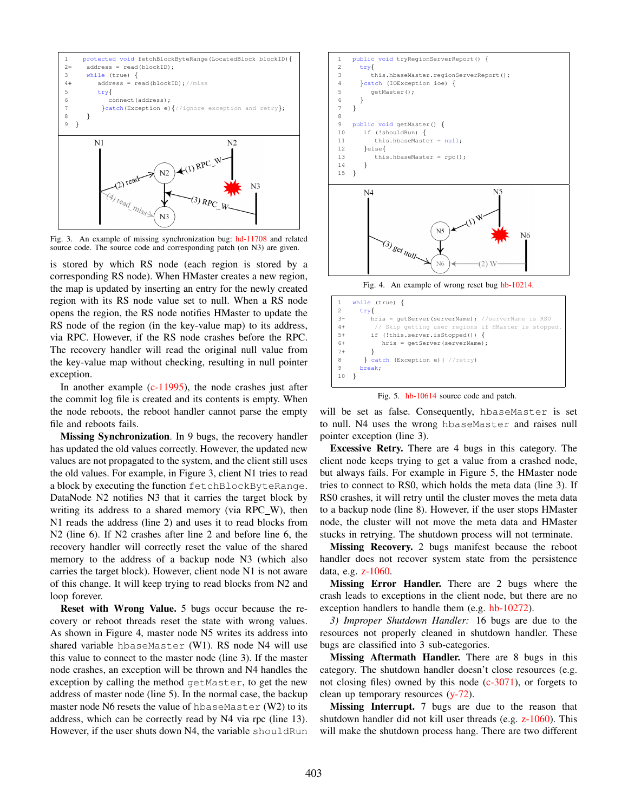

Fig. 3. An example of missing synchronization bug: hd-11708 and related source code. The source code and corresponding patch (on N3) are given.

is stored by which RS node (each region is stored by a corresponding RS node). When HMaster creates a new region, the map is updated by inserting an entry for the newly created region with its RS node value set to null. When a RS node opens the region, the RS node notifies HMaster to update the RS node of the region (in the key-value map) to its address, via RPC. However, if the RS node crashes before the RPC. The recovery handler will read the original null value from the key-value map without checking, resulting in null pointer exception.

In another example  $(c-11995)$ , the node crashes just after the commit log file is created and its contents is empty. When the node reboots, the reboot handler cannot parse the empty file and reboots fails.

Missing Synchronization. In 9 bugs, the recovery handler has updated the old values correctly. However, the updated new values are not propagated to the system, and the client still uses the old values. For example, in Figure 3, client N1 tries to read a block by executing the function fetchBlockByteRange. DataNode N2 notifies N3 that it carries the target block by writing its address to a shared memory (via RPC\_W), then N1 reads the address (line 2) and uses it to read blocks from N2 (line 6). If N2 crashes after line 2 and before line 6, the recovery handler will correctly reset the value of the shared memory to the address of a backup node N3 (which also carries the target block). However, client node N1 is not aware of this change. It will keep trying to read blocks from N2 and loop forever.

Reset with Wrong Value. 5 bugs occur because the recovery or reboot threads reset the state with wrong values. As shown in Figure 4, master node N5 writes its address into shared variable hbaseMaster (W1). RS node N4 will use this value to connect to the master node (line 3). If the master node crashes, an exception will be thrown and N4 handles the exception by calling the method getMaster, to get the new address of master node (line 5). In the normal case, the backup master node N6 resets the value of hbaseMaster (W2) to its address, which can be correctly read by N4 via rpc (line 13). However, if the user shuts down N4, the variable shouldRun



Fig. 5. hb-10614 source code and patch.

break;

10 }

will be set as false. Consequently, hbaseMaster is set to null. N4 uses the wrong hbaseMaster and raises null pointer exception (line 3).

Excessive Retry. There are 4 bugs in this category. The client node keeps trying to get a value from a crashed node, but always fails. For example in Figure 5, the HMaster node tries to connect to RS0, which holds the meta data (line 3). If RS0 crashes, it will retry until the cluster moves the meta data to a backup node (line 8). However, if the user stops HMaster node, the cluster will not move the meta data and HMaster stucks in retrying. The shutdown process will not terminate.

Missing Recovery. 2 bugs manifest because the reboot handler does not recover system state from the persistence data, e.g. z-1060.

Missing Error Handler. There are 2 bugs where the crash leads to exceptions in the client node, but there are no exception handlers to handle them (e.g. hb-10272).

*3) Improper Shutdown Handler:* 16 bugs are due to the resources not properly cleaned in shutdown handler. These bugs are classified into 3 sub-categories.

Missing Aftermath Handler. There are 8 bugs in this category. The shutdown handler doesn't close resources (e.g. not closing files) owned by this node (c-3071), or forgets to clean up temporary resources (y-72).

Missing Interrupt. 7 bugs are due to the reason that shutdown handler did not kill user threads (e.g. z-1060). This will make the shutdown process hang. There are two different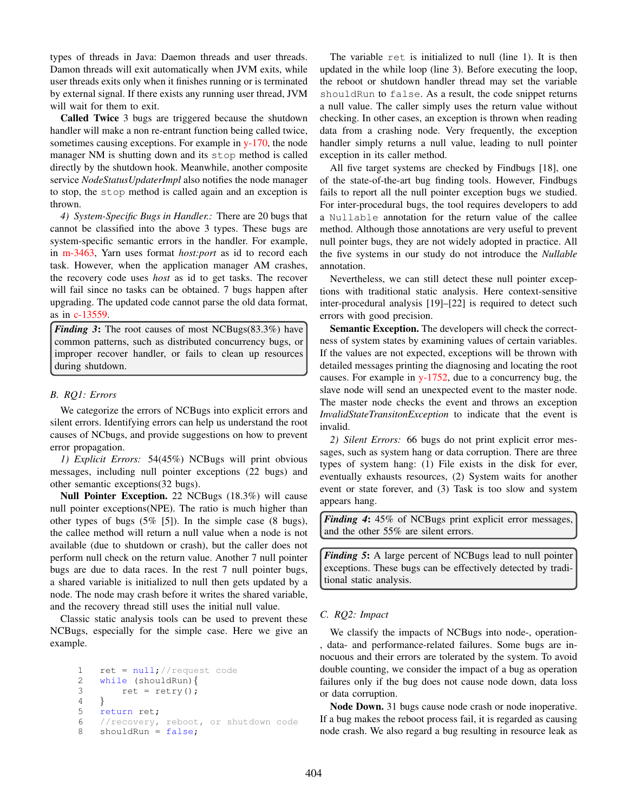types of threads in Java: Daemon threads and user threads. Damon threads will exit automatically when JVM exits, while user threads exits only when it finishes running or is terminated by external signal. If there exists any running user thread, JVM will wait for them to exit.

Called Twice 3 bugs are triggered because the shutdown handler will make a non re-entrant function being called twice, sometimes causing exceptions. For example in y-170, the node manager NM is shutting down and its stop method is called directly by the shutdown hook. Meanwhile, another composite service *NodeStatusUpdaterImpl* also notifies the node manager to stop, the stop method is called again and an exception is thrown.

*4) System-Specific Bugs in Handler.:* There are 20 bugs that cannot be classified into the above 3 types. These bugs are system-specific semantic errors in the handler. For example, in m-3463, Yarn uses format *host:port* as id to record each task. However, when the application manager AM crashes, the recovery code uses *host* as id to get tasks. The recover will fail since no tasks can be obtained. 7 bugs happen after upgrading. The updated code cannot parse the old data format, as in c-13559.

*Finding 3*: The root causes of most NCBugs(83.3%) have common patterns, such as distributed concurrency bugs, or improper recover handler, or fails to clean up resources during shutdown.

# *B. RQ1: Errors*

We categorize the errors of NCBugs into explicit errors and silent errors. Identifying errors can help us understand the root causes of NCbugs, and provide suggestions on how to prevent error propagation.

*1) Explicit Errors:* 54(45%) NCBugs will print obvious messages, including null pointer exceptions (22 bugs) and other semantic exceptions(32 bugs).

Null Pointer Exception. 22 NCBugs (18.3%) will cause null pointer exceptions(NPE). The ratio is much higher than other types of bugs  $(5\% \, 5)$ . In the simple case  $(8 \, \text{bugs})$ , the callee method will return a null value when a node is not available (due to shutdown or crash), but the caller does not perform null check on the return value. Another 7 null pointer bugs are due to data races. In the rest 7 null pointer bugs, a shared variable is initialized to null then gets updated by a node. The node may crash before it writes the shared variable, and the recovery thread still uses the initial null value.

Classic static analysis tools can be used to prevent these NCBugs, especially for the simple case. Here we give an example.

```
1 ret = null; //request code
2 while (shouldRun){
3 ret = \text{retry}();
4 }
5 return ret;
6 //recovery, reboot, or shutdown code
8 shouldRun = false;
```
The variable ret is initialized to null (line 1). It is then updated in the while loop (line 3). Before executing the loop, the reboot or shutdown handler thread may set the variable shouldRun to false. As a result, the code snippet returns a null value. The caller simply uses the return value without checking. In other cases, an exception is thrown when reading data from a crashing node. Very frequently, the exception handler simply returns a null value, leading to null pointer exception in its caller method.

All five target systems are checked by Findbugs [18], one of the state-of-the-art bug finding tools. However, Findbugs fails to report all the null pointer exception bugs we studied. For inter-procedural bugs, the tool requires developers to add a Nullable annotation for the return value of the callee method. Although those annotations are very useful to prevent null pointer bugs, they are not widely adopted in practice. All the five systems in our study do not introduce the *Nullable* annotation.

Nevertheless, we can still detect these null pointer exceptions with traditional static analysis. Here context-sensitive inter-procedural analysis [19]–[22] is required to detect such errors with good precision.

Semantic Exception. The developers will check the correctness of system states by examining values of certain variables. If the values are not expected, exceptions will be thrown with detailed messages printing the diagnosing and locating the root causes. For example in y-1752, due to a concurrency bug, the slave node will send an unexpected event to the master node. The master node checks the event and throws an exception *InvalidStateTransitonException* to indicate that the event is invalid.

*2) Silent Errors:* 66 bugs do not print explicit error messages, such as system hang or data corruption. There are three types of system hang: (1) File exists in the disk for ever, eventually exhausts resources, (2) System waits for another event or state forever, and (3) Task is too slow and system appears hang.

*Finding 4*: 45% of NCBugs print explicit error messages, and the other 55% are silent errors.

*Finding 5*: A large percent of NCBugs lead to null pointer exceptions. These bugs can be effectively detected by traditional static analysis.

# *C. RQ2: Impact*

We classify the impacts of NCBugs into node-, operation- , data- and performance-related failures. Some bugs are innocuous and their errors are tolerated by the system. To avoid double counting, we consider the impact of a bug as operation failures only if the bug does not cause node down, data loss or data corruption.

Node Down. 31 bugs cause node crash or node inoperative. If a bug makes the reboot process fail, it is regarded as causing node crash. We also regard a bug resulting in resource leak as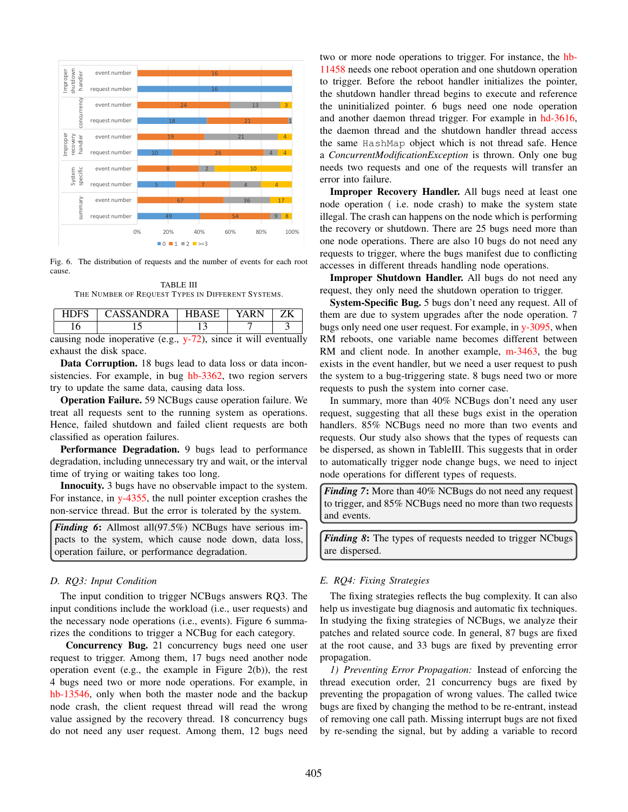

Fig. 6. The distribution of requests and the number of events for each root cause.

TABLE III THE NUMBER OF REQUEST TYPES IN DIFFERENT SYSTEMS.

|  | HDFS CASSANDRA                                                     | HBASE   YARN   ZK |  |
|--|--------------------------------------------------------------------|-------------------|--|
|  |                                                                    |                   |  |
|  | causing node inoperative (e.g., $y-72$ ), since it will eventually |                   |  |

exhaust the disk space.

Data Corruption. 18 bugs lead to data loss or data inconsistencies. For example, in bug hb-3362, two region servers try to update the same data, causing data loss.

Operation Failure. 59 NCBugs cause operation failure. We treat all requests sent to the running system as operations. Hence, failed shutdown and failed client requests are both classified as operation failures.

Performance Degradation. 9 bugs lead to performance degradation, including unnecessary try and wait, or the interval time of trying or waiting takes too long.

Innocuity. 3 bugs have no observable impact to the system. For instance, in y-4355, the null pointer exception crashes the non-service thread. But the error is tolerated by the system.

*Finding 6*: Allmost all(97.5%) NCBugs have serious impacts to the system, which cause node down, data loss, operation failure, or performance degradation.

## *D. RQ3: Input Condition*

The input condition to trigger NCBugs answers RQ3. The input conditions include the workload (i.e., user requests) and the necessary node operations (i.e., events). Figure 6 summarizes the conditions to trigger a NCBug for each category.

Concurrency Bug. 21 concurrency bugs need one user request to trigger. Among them, 17 bugs need another node operation event (e.g., the example in Figure 2(b)), the rest 4 bugs need two or more node operations. For example, in hb-13546, only when both the master node and the backup node crash, the client request thread will read the wrong value assigned by the recovery thread. 18 concurrency bugs do not need any user request. Among them, 12 bugs need two or more node operations to trigger. For instance, the hb-11458 needs one reboot operation and one shutdown operation to trigger. Before the reboot handler initializes the pointer, the shutdown handler thread begins to execute and reference the uninitialized pointer. 6 bugs need one node operation and another daemon thread trigger. For example in hd-3616, the daemon thread and the shutdown handler thread access the same HashMap object which is not thread safe. Hence a *ConcurrentModificationException* is thrown. Only one bug needs two requests and one of the requests will transfer an error into failure.

Improper Recovery Handler. All bugs need at least one node operation ( i.e. node crash) to make the system state illegal. The crash can happens on the node which is performing the recovery or shutdown. There are 25 bugs need more than one node operations. There are also 10 bugs do not need any requests to trigger, where the bugs manifest due to conflicting accesses in different threads handling node operations.

Improper Shutdown Handler. All bugs do not need any request, they only need the shutdown operation to trigger.

System-Specific Bug. 5 bugs don't need any request. All of them are due to system upgrades after the node operation. 7 bugs only need one user request. For example, in y-3095, when RM reboots, one variable name becomes different between RM and client node. In another example, m-3463, the bug exists in the event handler, but we need a user request to push the system to a bug-triggering state. 8 bugs need two or more requests to push the system into corner case.

In summary, more than 40% NCBugs don't need any user request, suggesting that all these bugs exist in the operation handlers. 85% NCBugs need no more than two events and requests. Our study also shows that the types of requests can be dispersed, as shown in TableIII. This suggests that in order to automatically trigger node change bugs, we need to inject node operations for different types of requests.

*Finding 7*: More than 40% NCBugs do not need any request to trigger, and 85% NCBugs need no more than two requests and events.

*Finding 8*: The types of requests needed to trigger NCbugs are dispersed.

## *E. RQ4: Fixing Strategies*

The fixing strategies reflects the bug complexity. It can also help us investigate bug diagnosis and automatic fix techniques. In studying the fixing strategies of NCBugs, we analyze their patches and related source code. In general, 87 bugs are fixed at the root cause, and 33 bugs are fixed by preventing error propagation.

*1) Preventing Error Propagation:* Instead of enforcing the thread execution order, 21 concurrency bugs are fixed by preventing the propagation of wrong values. The called twice bugs are fixed by changing the method to be re-entrant, instead of removing one call path. Missing interrupt bugs are not fixed by re-sending the signal, but by adding a variable to record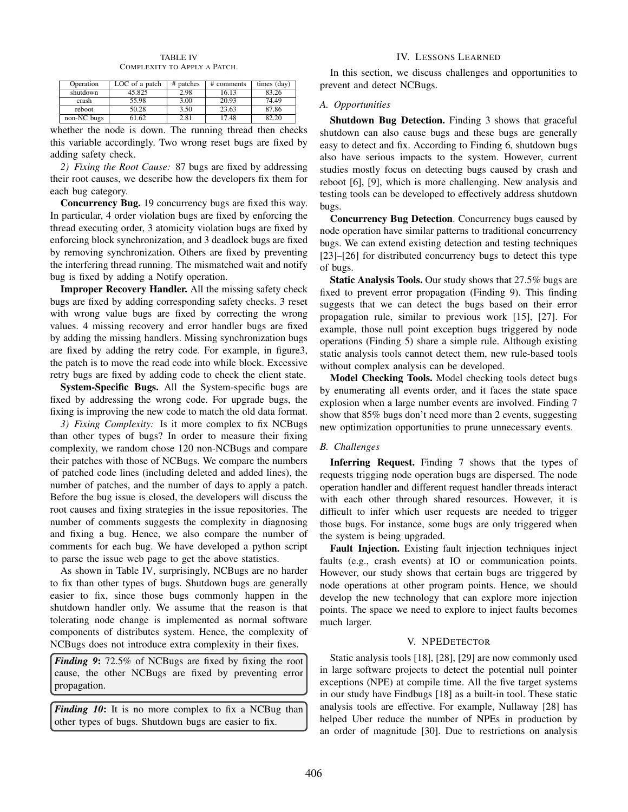#### TABLE IV COMPLEXITY TO APPLY A PATCH.

| Operation   | LOC of a patch | # patches | # comments | times (day) |
|-------------|----------------|-----------|------------|-------------|
| shutdown    | 45.825         | 2.98      | 16.13      | 83.26       |
| crash       | 55.98          | 3.00      | 20.93      | 74.49       |
| reboot      | 50.28          | 3.50      | 23.63      | 87.86       |
| non-NC bugs | 1.62           | 2.81      | 7.48       | ዩን ንበ       |

whether the node is down. The running thread then checks this variable accordingly. Two wrong reset bugs are fixed by adding safety check.

*2) Fixing the Root Cause:* 87 bugs are fixed by addressing their root causes, we describe how the developers fix them for each bug category.

Concurrency Bug. 19 concurrency bugs are fixed this way. In particular, 4 order violation bugs are fixed by enforcing the thread executing order, 3 atomicity violation bugs are fixed by enforcing block synchronization, and 3 deadlock bugs are fixed by removing synchronization. Others are fixed by preventing the interfering thread running. The mismatched wait and notify bug is fixed by adding a Notify operation.

Improper Recovery Handler. All the missing safety check bugs are fixed by adding corresponding safety checks. 3 reset with wrong value bugs are fixed by correcting the wrong values. 4 missing recovery and error handler bugs are fixed by adding the missing handlers. Missing synchronization bugs are fixed by adding the retry code. For example, in figure3, the patch is to move the read code into while block. Excessive retry bugs are fixed by adding code to check the client state.

System-Specific Bugs. All the System-specific bugs are fixed by addressing the wrong code. For upgrade bugs, the fixing is improving the new code to match the old data format.

*3) Fixing Complexity:* Is it more complex to fix NCBugs than other types of bugs? In order to measure their fixing complexity, we random chose 120 non-NCBugs and compare their patches with those of NCBugs. We compare the numbers of patched code lines (including deleted and added lines), the number of patches, and the number of days to apply a patch. Before the bug issue is closed, the developers will discuss the root causes and fixing strategies in the issue repositories. The number of comments suggests the complexity in diagnosing and fixing a bug. Hence, we also compare the number of comments for each bug. We have developed a python script to parse the issue web page to get the above statistics.

As shown in Table IV, surprisingly, NCBugs are no harder to fix than other types of bugs. Shutdown bugs are generally easier to fix, since those bugs commonly happen in the shutdown handler only. We assume that the reason is that tolerating node change is implemented as normal software components of distributes system. Hence, the complexity of NCBugs does not introduce extra complexity in their fixes.

*Finding 9*: 72.5% of NCBugs are fixed by fixing the root cause, the other NCBugs are fixed by preventing error propagation.

*Finding 10***:** It is no more complex to fix a NCBug than other types of bugs. Shutdown bugs are easier to fix.

# IV. LESSONS LEARNED

In this section, we discuss challenges and opportunities to prevent and detect NCBugs.

# *A. Opportunities*

Shutdown Bug Detection. Finding 3 shows that graceful shutdown can also cause bugs and these bugs are generally easy to detect and fix. According to Finding 6, shutdown bugs also have serious impacts to the system. However, current studies mostly focus on detecting bugs caused by crash and reboot [6], [9], which is more challenging. New analysis and testing tools can be developed to effectively address shutdown bugs.

Concurrency Bug Detection. Concurrency bugs caused by node operation have similar patterns to traditional concurrency bugs. We can extend existing detection and testing techniques [23]–[26] for distributed concurrency bugs to detect this type of bugs.

Static Analysis Tools. Our study shows that 27.5% bugs are fixed to prevent error propagation (Finding 9). This finding suggests that we can detect the bugs based on their error propagation rule, similar to previous work [15], [27]. For example, those null point exception bugs triggered by node operations (Finding 5) share a simple rule. Although existing static analysis tools cannot detect them, new rule-based tools without complex analysis can be developed.

Model Checking Tools. Model checking tools detect bugs by enumerating all events order, and it faces the state space explosion when a large number events are involved. Finding 7 show that 85% bugs don't need more than 2 events, suggesting new optimization opportunities to prune unnecessary events.

# *B. Challenges*

Inferring Request. Finding 7 shows that the types of requests trigging node operation bugs are dispersed. The node operation handler and different request handler threads interact with each other through shared resources. However, it is difficult to infer which user requests are needed to trigger those bugs. For instance, some bugs are only triggered when the system is being upgraded.

Fault Injection. Existing fault injection techniques inject faults (e.g., crash events) at IO or communication points. However, our study shows that certain bugs are triggered by node operations at other program points. Hence, we should develop the new technology that can explore more injection points. The space we need to explore to inject faults becomes much larger.

# V. NPEDETECTOR

Static analysis tools [18], [28], [29] are now commonly used in large software projects to detect the potential null pointer exceptions (NPE) at compile time. All the five target systems in our study have Findbugs [18] as a built-in tool. These static analysis tools are effective. For example, Nullaway [28] has helped Uber reduce the number of NPEs in production by an order of magnitude [30]. Due to restrictions on analysis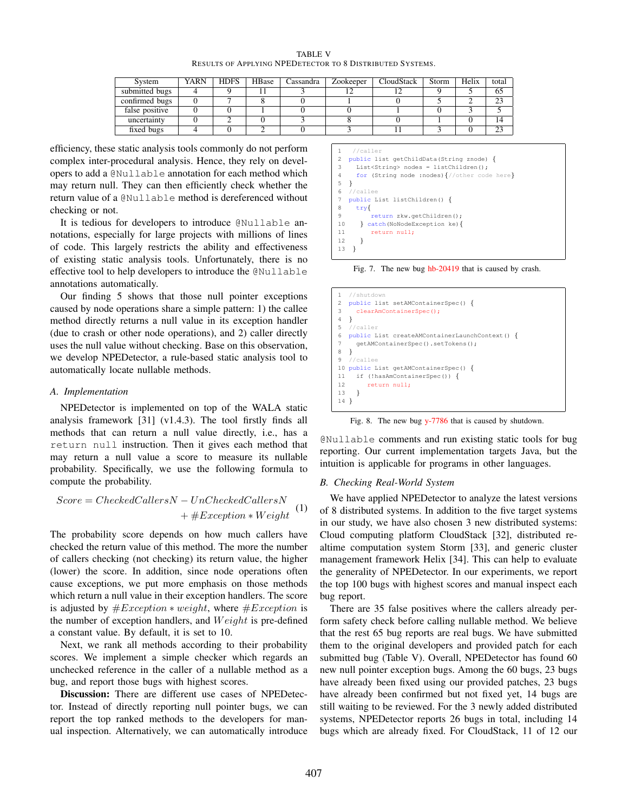TABLE V RESULTS OF APPLYING NPEDETECTOR TO 8 DISTRIBUTED SYSTEMS.

| System         | <b>YARN</b> | <b>HDFS</b> | HBase | Cassandra | Zookeeper | CloudStack | Storm | Helix | total  |
|----------------|-------------|-------------|-------|-----------|-----------|------------|-------|-------|--------|
| submitted bugs |             |             |       |           |           |            |       |       | 65     |
| confirmed bugs |             |             |       |           |           |            |       |       | 23     |
| false positive |             |             |       |           |           |            |       |       |        |
| uncertainty    |             |             |       |           |           |            |       |       |        |
| fixed bugs     |             |             |       |           |           |            |       |       | $\cap$ |

efficiency, these static analysis tools commonly do not perform complex inter-procedural analysis. Hence, they rely on developers to add a @Nullable annotation for each method which may return null. They can then efficiently check whether the return value of a @Nullable method is dereferenced without checking or not.

It is tedious for developers to introduce @Nullable annotations, especially for large projects with millions of lines of code. This largely restricts the ability and effectiveness of existing static analysis tools. Unfortunately, there is no effective tool to help developers to introduce the @Nullable annotations automatically.

Our finding 5 shows that those null pointer exceptions caused by node operations share a simple pattern: 1) the callee method directly returns a null value in its exception handler (due to crash or other node operations), and 2) caller directly uses the null value without checking. Base on this observation, we develop NPEDetector, a rule-based static analysis tool to automatically locate nullable methods.

#### *A. Implementation*

NPEDetector is implemented on top of the WALA static analysis framework [31] (v1.4.3). The tool firstly finds all methods that can return a null value directly, i.e., has a return null instruction. Then it gives each method that may return a null value a score to measure its nullable probability. Specifically, we use the following formula to compute the probability.

$$
Score = CheckedCallsN - UnCheckedCallsN + \#Exception * Weight
$$
 (1)

The probability score depends on how much callers have checked the return value of this method. The more the number of callers checking (not checking) its return value, the higher (lower) the score. In addition, since node operations often cause exceptions, we put more emphasis on those methods which return a null value in their exception handlers. The score is adjusted by  $#Exception * weight$ , where  $#Exception$  is the number of exception handlers, and  $Weight$  is pre-defined a constant value. By default, it is set to 10.

Next, we rank all methods according to their probability scores. We implement a simple checker which regards an unchecked reference in the caller of a nullable method as a bug, and report those bugs with highest scores.

Discussion: There are different use cases of NPEDetector. Instead of directly reporting null pointer bugs, we can report the top ranked methods to the developers for manual inspection. Alternatively, we can automatically introduce



Fig. 7. The new bug hb-20419 that is caused by crash.



Fig. 8. The new bug y-7786 that is caused by shutdown.

@Nullable comments and run existing static tools for bug reporting. Our current implementation targets Java, but the intuition is applicable for programs in other languages.

#### *B. Checking Real-World System*

We have applied NPEDetector to analyze the latest versions of 8 distributed systems. In addition to the five target systems in our study, we have also chosen 3 new distributed systems: Cloud computing platform CloudStack [32], distributed realtime computation system Storm [33], and generic cluster management framework Helix [34]. This can help to evaluate the generality of NPEDetector. In our experiments, we report the top 100 bugs with highest scores and manual inspect each bug report.

There are 35 false positives where the callers already perform safety check before calling nullable method. We believe that the rest 65 bug reports are real bugs. We have submitted them to the original developers and provided patch for each submitted bug (Table V). Overall, NPEDetector has found 60 new null pointer exception bugs. Among the 60 bugs, 23 bugs have already been fixed using our provided patches, 23 bugs have already been confirmed but not fixed yet, 14 bugs are still waiting to be reviewed. For the 3 newly added distributed systems, NPEDetector reports 26 bugs in total, including 14 bugs which are already fixed. For CloudStack, 11 of 12 our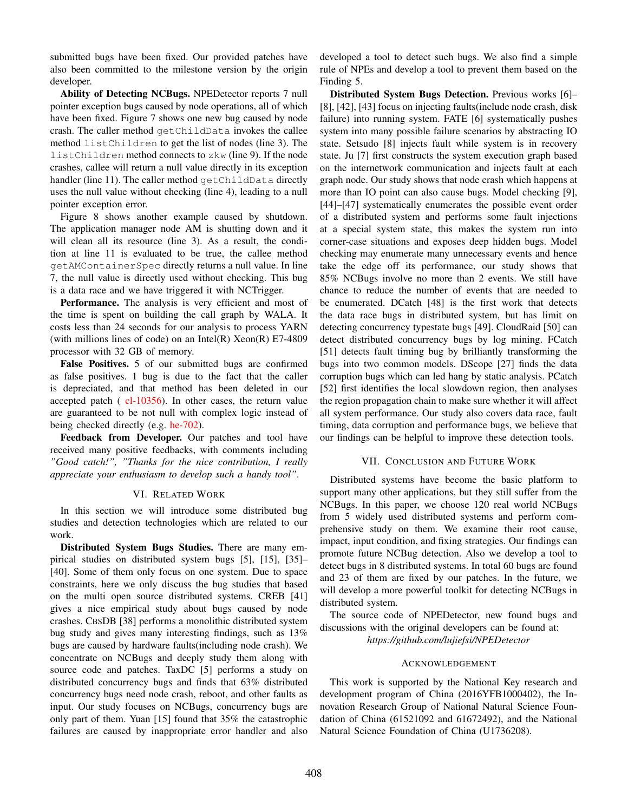submitted bugs have been fixed. Our provided patches have also been committed to the milestone version by the origin developer.

Ability of Detecting NCBugs. NPEDetector reports 7 null pointer exception bugs caused by node operations, all of which have been fixed. Figure 7 shows one new bug caused by node crash. The caller method getChildData invokes the callee method listChildren to get the list of nodes (line 3). The listChildren method connects to zkw (line 9). If the node crashes, callee will return a null value directly in its exception handler (line 11). The caller method getChildData directly uses the null value without checking (line 4), leading to a null pointer exception error.

Figure 8 shows another example caused by shutdown. The application manager node AM is shutting down and it will clean all its resource (line 3). As a result, the condition at line 11 is evaluated to be true, the callee method getAMContainerSpec directly returns a null value. In line 7, the null value is directly used without checking. This bug is a data race and we have triggered it with NCTrigger.

Performance. The analysis is very efficient and most of the time is spent on building the call graph by WALA. It costs less than 24 seconds for our analysis to process YARN (with millions lines of code) on an Intel $(R)$  Xeon $(R)$  E7-4809 processor with 32 GB of memory.

False Positives. 5 of our submitted bugs are confirmed as false positives. 1 bug is due to the fact that the caller is depreciated, and that method has been deleted in our accepted patch ( cl-10356). In other cases, the return value are guaranteed to be not null with complex logic instead of being checked directly (e.g. he-702).

Feedback from Developer. Our patches and tool have received many positive feedbacks, with comments including *"Good catch!", "Thanks for the nice contribution, I really appreciate your enthusiasm to develop such a handy tool"*.

## VI. RELATED WORK

In this section we will introduce some distributed bug studies and detection technologies which are related to our work.

Distributed System Bugs Studies. There are many empirical studies on distributed system bugs [5], [15], [35]– [40]. Some of them only focus on one system. Due to space constraints, here we only discuss the bug studies that based on the multi open source distributed systems. CREB [41] gives a nice empirical study about bugs caused by node crashes. CBSDB [38] performs a monolithic distributed system bug study and gives many interesting findings, such as 13% bugs are caused by hardware faults(including node crash). We concentrate on NCBugs and deeply study them along with source code and patches. TaxDC [5] performs a study on distributed concurrency bugs and finds that 63% distributed concurrency bugs need node crash, reboot, and other faults as input. Our study focuses on NCBugs, concurrency bugs are only part of them. Yuan [15] found that 35% the catastrophic failures are caused by inappropriate error handler and also

developed a tool to detect such bugs. We also find a simple rule of NPEs and develop a tool to prevent them based on the Finding 5.

Distributed System Bugs Detection. Previous works [6]– [8], [42], [43] focus on injecting faults(include node crash, disk failure) into running system. FATE [6] systematically pushes system into many possible failure scenarios by abstracting IO state. Setsudo [8] injects fault while system is in recovery state. Ju [7] first constructs the system execution graph based on the internetwork communication and injects fault at each graph node. Our study shows that node crash which happens at more than IO point can also cause bugs. Model checking [9], [44]–[47] systematically enumerates the possible event order of a distributed system and performs some fault injections at a special system state, this makes the system run into corner-case situations and exposes deep hidden bugs. Model checking may enumerate many unnecessary events and hence take the edge off its performance, our study shows that 85% NCBugs involve no more than 2 events. We still have chance to reduce the number of events that are needed to be enumerated. DCatch [48] is the first work that detects the data race bugs in distributed system, but has limit on detecting concurrency typestate bugs [49]. CloudRaid [50] can detect distributed concurrency bugs by log mining. FCatch [51] detects fault timing bug by brilliantly transforming the bugs into two common models. DScope [27] finds the data corruption bugs which can led hang by static analysis. PCatch [52] first identifies the local slowdown region, then analyses the region propagation chain to make sure whether it will affect all system performance. Our study also covers data race, fault timing, data corruption and performance bugs, we believe that our findings can be helpful to improve these detection tools.

## VII. CONCLUSION AND FUTURE WORK

Distributed systems have become the basic platform to support many other applications, but they still suffer from the NCBugs. In this paper, we choose 120 real world NCBugs from 5 widely used distributed systems and perform comprehensive study on them. We examine their root cause, impact, input condition, and fixing strategies. Our findings can promote future NCBug detection. Also we develop a tool to detect bugs in 8 distributed systems. In total 60 bugs are found and 23 of them are fixed by our patches. In the future, we will develop a more powerful toolkit for detecting NCBugs in distributed system.

The source code of NPEDetector, new found bugs and discussions with the original developers can be found at: *https://github.com/lujiefsi/NPEDetector*

## ACKNOWLEDGEMENT

This work is supported by the National Key research and development program of China (2016YFB1000402), the Innovation Research Group of National Natural Science Foundation of China (61521092 and 61672492), and the National Natural Science Foundation of China (U1736208).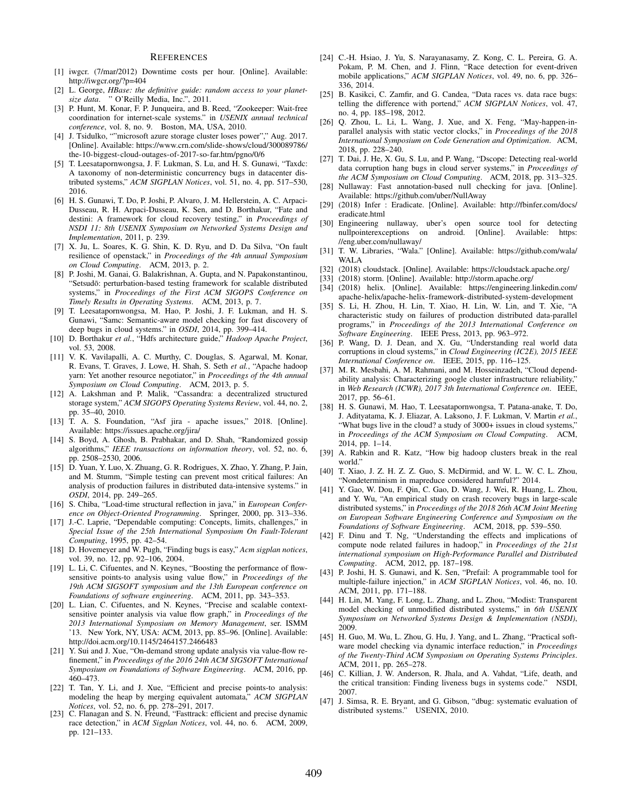#### **REFERENCES**

- [1] iwgcr. (7/mar/2012) Downtime costs per hour. [Online]. Available: http://iwgcr.org/?p=404
- [2] L. George, *HBase: the definitive guide: random access to your planetsize data*. " O'Reilly Media, Inc.", 2011.
- [3] P. Hunt, M. Konar, F. P. Junqueira, and B. Reed, "Zookeeper: Wait-free coordination for internet-scale systems." in *USENIX annual technical conference*, vol. 8, no. 9. Boston, MA, USA, 2010.
- [4] J. Tsidulko, ""microsoft azure storage cluster loses power"," Aug. 2017. [Online]. Available: https://www.crn.com/slide-shows/cloud/300089786/ the-10-biggest-cloud-outages-of-2017-so-far.htm/pgno/0/6
- [5] T. Leesatapornwongsa, J. F. Lukman, S. Lu, and H. S. Gunawi, "Taxdc: A taxonomy of non-deterministic concurrency bugs in datacenter distributed systems," *ACM SIGPLAN Notices*, vol. 51, no. 4, pp. 517–530, 2016.
- [6] H. S. Gunawi, T. Do, P. Joshi, P. Alvaro, J. M. Hellerstein, A. C. Arpaci-Dusseau, R. H. Arpaci-Dusseau, K. Sen, and D. Borthakur, "Fate and destini: A framework for cloud recovery testing," in *Proceedings of NSDI 11: 8th USENIX Symposium on Networked Systems Design and Implementation*, 2011, p. 239.
- [7] X. Ju, L. Soares, K. G. Shin, K. D. Ryu, and D. Da Silva, "On fault resilience of openstack," in *Proceedings of the 4th annual Symposium on Cloud Computing*. ACM, 2013, p. 2.
- [8] P. Joshi, M. Ganai, G. Balakrishnan, A. Gupta, and N. Papakonstantinou, "Setsudō: perturbation-based testing framework for scalable distributed systems," in *Proceedings of the First ACM SIGOPS Conference on Timely Results in Operating Systems*. ACM, 2013, p. 7.
- [9] T. Leesatapornwongsa, M. Hao, P. Joshi, J. F. Lukman, and H. S. Gunawi, "Samc: Semantic-aware model checking for fast discovery of deep bugs in cloud systems." in *OSDI*, 2014, pp. 399–414.
- [10] D. Borthakur *et al.*, "Hdfs architecture guide," *Hadoop Apache Project*, vol. 53, 2008.
- [11] V. K. Vavilapalli, A. C. Murthy, C. Douglas, S. Agarwal, M. Konar, R. Evans, T. Graves, J. Lowe, H. Shah, S. Seth *et al.*, "Apache hadoop yarn: Yet another resource negotiator," in *Proceedings of the 4th annual Symposium on Cloud Computing*. ACM, 2013, p. 5.
- [12] A. Lakshman and P. Malik, "Cassandra: a decentralized structured storage system," *ACM SIGOPS Operating Systems Review*, vol. 44, no. 2, pp. 35–40, 2010.
- [13] T. A. S. Foundation, "Asf jira apache issues," 2018. [Online]. Available: https://issues.apache.org/jira/
- [14] S. Boyd, A. Ghosh, B. Prabhakar, and D. Shah, "Randomized gossip algorithms," *IEEE transactions on information theory*, vol. 52, no. 6, pp. 2508–2530, 2006.
- [15] D. Yuan, Y. Luo, X. Zhuang, G. R. Rodrigues, X. Zhao, Y. Zhang, P. Jain, and M. Stumm, "Simple testing can prevent most critical failures: An analysis of production failures in distributed data-intensive systems." in *OSDI*, 2014, pp. 249–265.
- [16] S. Chiba, "Load-time structural reflection in java," in *European Conference on Object-Oriented Programming*. Springer, 2000, pp. 313–336.
- [17] J.-C. Laprie, "Dependable computing: Concepts, limits, challenges," in *Special Issue of the 25th International Symposium On Fault-Tolerant Computing*, 1995, pp. 42–54.
- [18] D. Hovemeyer and W. Pugh, "Finding bugs is easy," *Acm sigplan notices*, vol. 39, no. 12, pp. 92–106, 2004.
- [19] L. Li, C. Cifuentes, and N. Keynes, "Boosting the performance of flowsensitive points-to analysis using value flow," in *Proceedings of the 19th ACM SIGSOFT symposium and the 13th European conference on Foundations of software engineering*. ACM, 2011, pp. 343–353.
- [20] L. Lian, C. Cifuentes, and N. Keynes, "Precise and scalable contextsensitive pointer analysis via value flow graph," in *Proceedings of the 2013 International Symposium on Memory Management*, ser. ISMM '13. New York, NY, USA: ACM, 2013, pp. 85–96. [Online]. Available: http://doi.acm.org/10.1145/2464157.2466483
- [21] Y. Sui and J. Xue, "On-demand strong update analysis via value-flow refinement," in *Proceedings of the 2016 24th ACM SIGSOFT International Symposium on Foundations of Software Engineering*. ACM, 2016, pp. 460–473.
- [22] T. Tan, Y. Li, and J. Xue, "Efficient and precise points-to analysis: modeling the heap by merging equivalent automata," *ACM SIGPLAN Notices*, vol. 52, no. 6, pp. 278–291, 2017.
- [23] C. Flanagan and S. N. Freund, "Fasttrack: efficient and precise dynamic race detection," in *ACM Sigplan Notices*, vol. 44, no. 6. ACM, 2009, pp. 121–133.
- [24] C.-H. Hsiao, J. Yu, S. Narayanasamy, Z. Kong, C. L. Pereira, G. A. Pokam, P. M. Chen, and J. Flinn, "Race detection for event-driven mobile applications," *ACM SIGPLAN Notices*, vol. 49, no. 6, pp. 326– 336, 2014.
- [25] B. Kasikci, C. Zamfir, and G. Candea, "Data races vs. data race bugs: telling the difference with portend," *ACM SIGPLAN Notices*, vol. 47, no. 4, pp. 185–198, 2012.
- [26] Q. Zhou, L. Li, L. Wang, J. Xue, and X. Feng, "May-happen-inparallel analysis with static vector clocks," in *Proceedings of the 2018 International Symposium on Code Generation and Optimization*. ACM, 2018, pp. 228–240.
- [27] T. Dai, J. He, X. Gu, S. Lu, and P. Wang, "Dscope: Detecting real-world data corruption hang bugs in cloud server systems," in *Proceedings of the ACM Symposium on Cloud Computing*. ACM, 2018, pp. 313–325.
- [28] Nullaway: Fast annotation-based null checking for java. [Online]. Available: https://github.com/uber/NullAway
- [29] (2018) Infer : Eradicate. [Online]. Available: http://fbinfer.com/docs/ eradicate.html
- [30] Engineering nullaway, uber's open source tool for detecting nullpointerexceptions on android. [Online]. Available: https: //eng.uber.com/nullaway/
- [31] T. W. Libraries, "Wala." [Online]. Available: https://github.com/wala/ WALA
- [32] (2018) cloudstack. [Online]. Available: https://cloudstack.apache.org/
- [33] (2018) storm. [Online]. Available: http://storm.apache.org/
- [34] (2018) helix. [Online]. Available: https://engineering.linkedin.com/ apache-helix/apache-helix-framework-distributed-system-development
- [35] S. Li, H. Zhou, H. Lin, T. Xiao, H. Lin, W. Lin, and T. Xie, "A characteristic study on failures of production distributed data-parallel programs," in *Proceedings of the 2013 International Conference on Software Engineering*. IEEE Press, 2013, pp. 963–972.
- [36] P. Wang, D. J. Dean, and X. Gu, "Understanding real world data corruptions in cloud systems," in *Cloud Engineering (IC2E), 2015 IEEE International Conference on*. IEEE, 2015, pp. 116–125.
- [37] M. R. Mesbahi, A. M. Rahmani, and M. Hosseinzadeh, "Cloud dependability analysis: Characterizing google cluster infrastructure reliability," in *Web Research (ICWR), 2017 3th International Conference on*. IEEE, 2017, pp. 56–61.
- [38] H. S. Gunawi, M. Hao, T. Leesatapornwongsa, T. Patana-anake, T. Do, J. Adityatama, K. J. Eliazar, A. Laksono, J. F. Lukman, V. Martin *et al.*, "What bugs live in the cloud? a study of 3000+ issues in cloud systems," in *Proceedings of the ACM Symposium on Cloud Computing*. ACM, 2014, pp. 1–14.
- [39] A. Rabkin and R. Katz, "How big hadoop clusters break in the real world."
- [40] T. Xiao, J. Z. H. Z. Z. Guo, S. McDirmid, and W. L. W. C. L. Zhou, "Nondeterminism in mapreduce considered harmful?" 2014.
- [41] Y. Gao, W. Dou, F. Qin, C. Gao, D. Wang, J. Wei, R. Huang, L. Zhou, and Y. Wu, "An empirical study on crash recovery bugs in large-scale distributed systems," in *Proceedings of the 2018 26th ACM Joint Meeting on European Software Engineering Conference and Symposium on the Foundations of Software Engineering*. ACM, 2018, pp. 539–550.
- [42] F. Dinu and T. Ng, "Understanding the effects and implications of compute node related failures in hadoop," in *Proceedings of the 21st international symposium on High-Performance Parallel and Distributed Computing*. ACM, 2012, pp. 187–198.
- [43] P. Joshi, H. S. Gunawi, and K. Sen, "Prefail: A programmable tool for multiple-failure injection," in *ACM SIGPLAN Notices*, vol. 46, no. 10. ACM, 2011, pp. 171–188.
- [44] H. Lin, M. Yang, F. Long, L. Zhang, and L. Zhou, "Modist: Transparent model checking of unmodified distributed systems," in *6th USENIX Symposium on Networked Systems Design & Implementation (NSDI)*, 2009.
- [45] H. Guo, M. Wu, L. Zhou, G. Hu, J. Yang, and L. Zhang, "Practical software model checking via dynamic interface reduction," in *Proceedings of the Twenty-Third ACM Symposium on Operating Systems Principles*. ACM, 2011, pp. 265–278.
- [46] C. Killian, J. W. Anderson, R. Jhala, and A. Vahdat, "Life, death, and the critical transition: Finding liveness bugs in systems code." NSDI, 2007.
- [47] J. Simsa, R. E. Bryant, and G. Gibson, "dbug: systematic evaluation of distributed systems." USENIX, 2010.